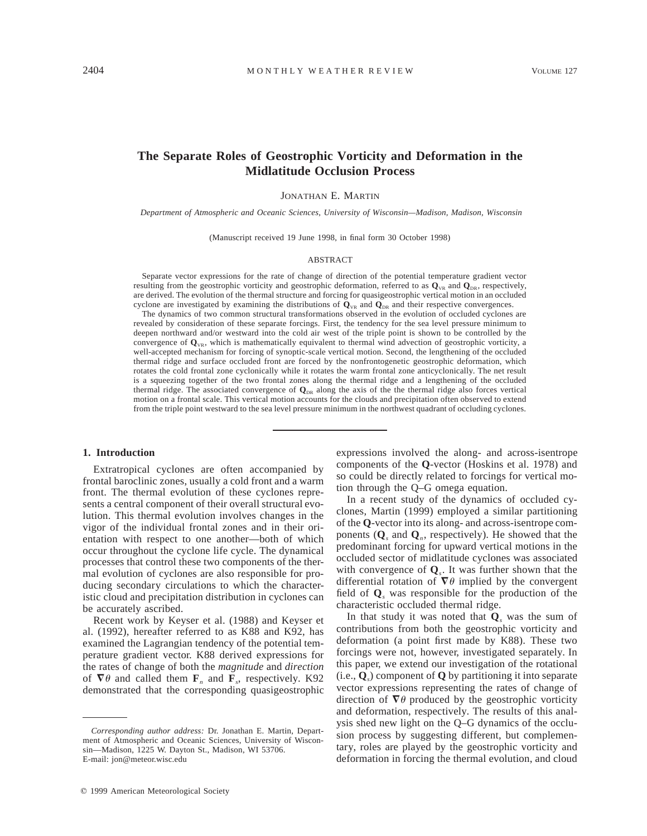# **The Separate Roles of Geostrophic Vorticity and Deformation in the Midlatitude Occlusion Process**

JONATHAN E. MARTIN

*Department of Atmospheric and Oceanic Sciences, University of Wisconsin—Madison, Madison, Wisconsin*

(Manuscript received 19 June 1998, in final form 30 October 1998)

#### ABSTRACT

Separate vector expressions for the rate of change of direction of the potential temperature gradient vector resulting from the geostrophic vorticity and geostrophic deformation, referred to as  $\mathbf{Q}_{VR}$  and  $\mathbf{Q}_{DR}$ , respectively, are derived. The evolution of the thermal structure and forcing for quasigeostrophic vertical motion in an occluded cyclone are investigated by examining the distributions of  $Q_{\text{VR}}$  and  $Q_{\text{DR}}$  and their respective convergences.

The dynamics of two common structural transformations observed in the evolution of occluded cyclones are revealed by consideration of these separate forcings. First, the tendency for the sea level pressure minimum to deepen northward and/or westward into the cold air west of the triple point is shown to be controlled by the convergence of  $\mathbf{Q}_{\text{VR}}$ , which is mathematically equivalent to thermal wind advection of geostrophic vorticity, a well-accepted mechanism for forcing of synoptic-scale vertical motion. Second, the lengthening of the occluded thermal ridge and surface occluded front are forced by the nonfrontogenetic geostrophic deformation, which rotates the cold frontal zone cyclonically while it rotates the warm frontal zone anticyclonically. The net result is a squeezing together of the two frontal zones along the thermal ridge and a lengthening of the occluded thermal ridge. The associated convergence of  $\mathbf{Q}_{DR}$  along the axis of the the thermal ridge also forces vertical motion on a frontal scale. This vertical motion accounts for the clouds and precipitation often observed to extend from the triple point westward to the sea level pressure minimum in the northwest quadrant of occluding cyclones.

#### **1. Introduction**

Extratropical cyclones are often accompanied by frontal baroclinic zones, usually a cold front and a warm front. The thermal evolution of these cyclones represents a central component of their overall structural evolution. This thermal evolution involves changes in the vigor of the individual frontal zones and in their orientation with respect to one another—both of which occur throughout the cyclone life cycle. The dynamical processes that control these two components of the thermal evolution of cyclones are also responsible for producing secondary circulations to which the characteristic cloud and precipitation distribution in cyclones can be accurately ascribed.

Recent work by Keyser et al. (1988) and Keyser et al. (1992), hereafter referred to as K88 and K92, has examined the Lagrangian tendency of the potential temperature gradient vector. K88 derived expressions for the rates of change of both the *magnitude* and *direction* of  $\nabla \theta$  and called them  $\mathbf{F}_n$  and  $\mathbf{F}_s$ , respectively. K92 demonstrated that the corresponding quasigeostrophic expressions involved the along- and across-isentrope components of the **Q**-vector (Hoskins et al. 1978) and so could be directly related to forcings for vertical motion through the Q–G omega equation.

In a recent study of the dynamics of occluded cyclones, Martin (1999) employed a similar partitioning of the **Q**-vector into its along- and across-isentrope components  $(Q_s$  and  $Q_n$ , respectively). He showed that the predominant forcing for upward vertical motions in the occluded sector of midlatitude cyclones was associated with convergence of **Q***s*. It was further shown that the differential rotation of  $\nabla \theta$  implied by the convergent field of **Q***<sup>s</sup>* was responsible for the production of the characteristic occluded thermal ridge.

In that study it was noted that **Q***<sup>s</sup>* was the sum of contributions from both the geostrophic vorticity and deformation (a point first made by K88). These two forcings were not, however, investigated separately. In this paper, we extend our investigation of the rotational (i.e., **Q***s*) component of **Q** by partitioning it into separate vector expressions representing the rates of change of direction of  $\nabla \theta$  produced by the geostrophic vorticity and deformation, respectively. The results of this analysis shed new light on the Q–G dynamics of the occlusion process by suggesting different, but complementary, roles are played by the geostrophic vorticity and deformation in forcing the thermal evolution, and cloud

*Corresponding author address:* Dr. Jonathan E. Martin, Department of Atmospheric and Oceanic Sciences, University of Wisconsin—Madison, 1225 W. Dayton St., Madison, WI 53706. E-mail: jon@meteor.wisc.edu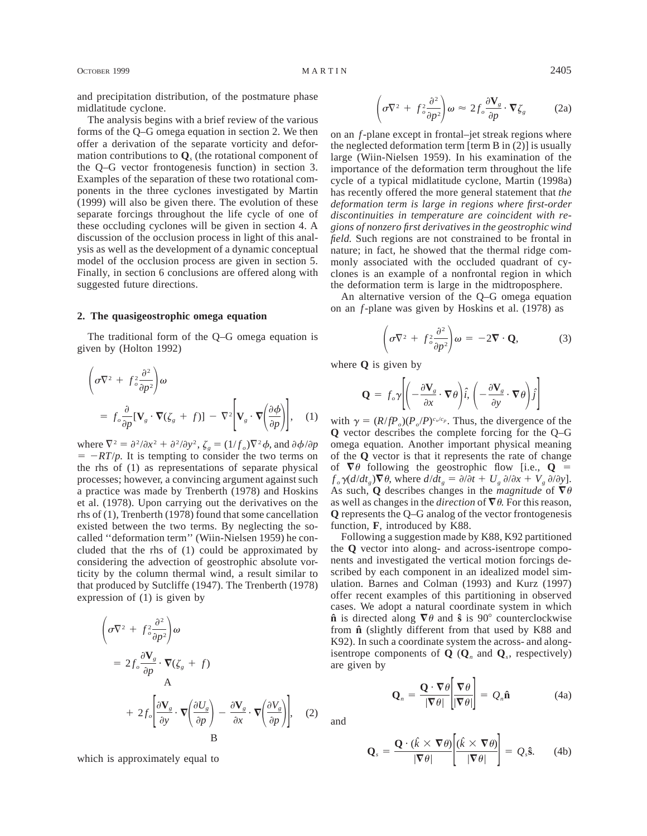and precipitation distribution, of the postmature phase midlatitude cyclone.

The analysis begins with a brief review of the various forms of the Q–G omega equation in section 2. We then offer a derivation of the separate vorticity and deformation contributions to **Q***<sup>s</sup>* (the rotational component of the Q–G vector frontogenesis function) in section 3. Examples of the separation of these two rotational components in the three cyclones investigated by Martin (1999) will also be given there. The evolution of these separate forcings throughout the life cycle of one of these occluding cyclones will be given in section 4. A discussion of the occlusion process in light of this analysis as well as the development of a dynamic conceptual model of the occlusion process are given in section 5. Finally, in section 6 conclusions are offered along with suggested future directions.

#### **2. The quasigeostrophic omega equation**

The traditional form of the Q–G omega equation is given by (Holton 1992)

$$
\left(\sigma \nabla^2 + f_c^2 \frac{\partial^2}{\partial p^2}\right) \omega
$$
  
=  $f_o \frac{\partial}{\partial p} [\mathbf{V}_g \cdot \nabla (\zeta_g + f)] - \nabla^2 [\mathbf{V}_g \cdot \nabla \left(\frac{\partial \phi}{\partial p}\right)],$  (1)

where  $\nabla^2 = \frac{\partial^2}{\partial x^2} + \frac{\partial^2}{\partial y^2}$ ,  $\zeta_g = \left(\frac{1}{f_o}\right) \nabla^2 \phi$ , and  $\frac{\partial \phi}{\partial p}$  $= -RT/p$ . It is tempting to consider the two terms on the rhs of (1) as representations of separate physical processes; however, a convincing argument against such a practice was made by Trenberth (1978) and Hoskins et al. (1978). Upon carrying out the derivatives on the rhs of (1), Trenberth (1978) found that some cancellation existed between the two terms. By neglecting the socalled ''deformation term'' (Wiin-Nielsen 1959) he concluded that the rhs of (1) could be approximated by considering the advection of geostrophic absolute vorticity by the column thermal wind, a result similar to that produced by Sutcliffe (1947). The Trenberth (1978) expression of (1) is given by

$$
\left(\sigma \nabla^2 + f^2 \frac{\partial^2}{\partial p^2}\right) \omega
$$
  
=  $2f_o \frac{\partial \mathbf{V}_g}{\partial p} \cdot \nabla (\zeta_g + f)$   
A  
+  $2f_o \left[\frac{\partial \mathbf{V}_g}{\partial y} \cdot \nabla \left(\frac{\partial U_g}{\partial p}\right) - \frac{\partial \mathbf{V}_g}{\partial x} \cdot \nabla \left(\frac{\partial V_g}{\partial p}\right)\right],$  (2)  
B

which is approximately equal to

$$
\left(\sigma \nabla^2 + f_o^2 \frac{\partial^2}{\partial p^2}\right) \omega \approx 2 f_o \frac{\partial \mathbf{V}_g}{\partial p} \cdot \nabla \zeta_g \tag{2a}
$$

on an *f*-plane except in frontal–jet streak regions where the neglected deformation term [term B in (2)] is usually large (Wiin-Nielsen 1959). In his examination of the importance of the deformation term throughout the life cycle of a typical midlatitude cyclone, Martin (1998a) has recently offered the more general statement that *the deformation term is large in regions where first-order discontinuities in temperature are coincident with regions of nonzero first derivatives in the geostrophic wind field.* Such regions are not constrained to be frontal in nature; in fact, he showed that the thermal ridge commonly associated with the occluded quadrant of cyclones is an example of a nonfrontal region in which the deformation term is large in the midtroposphere.

An alternative version of the Q–G omega equation on an *f*-plane was given by Hoskins et al. (1978) as

$$
\left(\sigma \nabla^2 + f_o^2 \frac{\partial^2}{\partial p^2}\right) \omega = -2 \nabla \cdot \mathbf{Q},\tag{3}
$$

where **Q** is given by

$$
\mathbf{Q} = f_o \mathbf{\gamma} \left[ \left( -\frac{\partial \mathbf{V}_s}{\partial x} \cdot \nabla \theta \right) \hat{i}, \left( -\frac{\partial \mathbf{V}_s}{\partial y} \cdot \nabla \theta \right) \hat{j} \right]
$$

with  $\gamma = (R/fP) \cdot (P \cdot /P) \cdot (P \cdot /P) \cdot (P \cdot R \cdot R)$ . Thus, the divergence of the **Q** vector describes the complete forcing for the Q–G omega equation. Another important physical meaning of the **Q** vector is that it represents the rate of change of  $\nabla \theta$  following the geostrophic flow [i.e., **Q** =  $f_{\rho} \gamma \frac{d}{dt_{\rho}} \nabla \theta$ , where  $\frac{d}{dt_{\rho}} = \frac{\partial}{\partial t} + U_{\rho} \frac{\partial}{\partial x} + V_{\rho} \frac{\partial}{\partial y}$ . As such, Q describes changes in the *magnitude* of  $\nabla \theta$ as well as changes in the *direction* of  $\nabla \theta$ . For this reason, **Q** represents the Q–G analog of the vector frontogenesis function, **F**, introduced by K88.

Following a suggestion made by K88, K92 partitioned the **Q** vector into along- and across-isentrope components and investigated the vertical motion forcings described by each component in an idealized model simulation. Barnes and Colman (1993) and Kurz (1997) offer recent examples of this partitioning in observed cases. We adopt a natural coordinate system in which  $\hat{\mathbf{n}}$  is directed along  $\nabla \theta$  and  $\hat{\mathbf{s}}$  is 90° counterclockwise from **nˆ** (slightly different from that used by K88 and K92). In such a coordinate system the across- and alongisentrope components of  $\mathbf{Q}$  ( $\mathbf{Q}_n$  and  $\mathbf{Q}_s$ , respectively) are given by

$$
\mathbf{Q}_n = \frac{\mathbf{Q} \cdot \nabla \theta}{|\nabla \theta|} \frac{\nabla \theta}{|\nabla \theta|} = Q_n \hat{\mathbf{n}} \tag{4a}
$$

and

$$
\mathbf{Q}_s = \frac{\mathbf{Q} \cdot (\hat{k} \times \nabla \theta)}{|\nabla \theta|} \left[ \frac{(\hat{k} \times \nabla \theta)}{|\nabla \theta|} \right] = Q_s \mathbf{\hat{s}}.
$$
 (4b)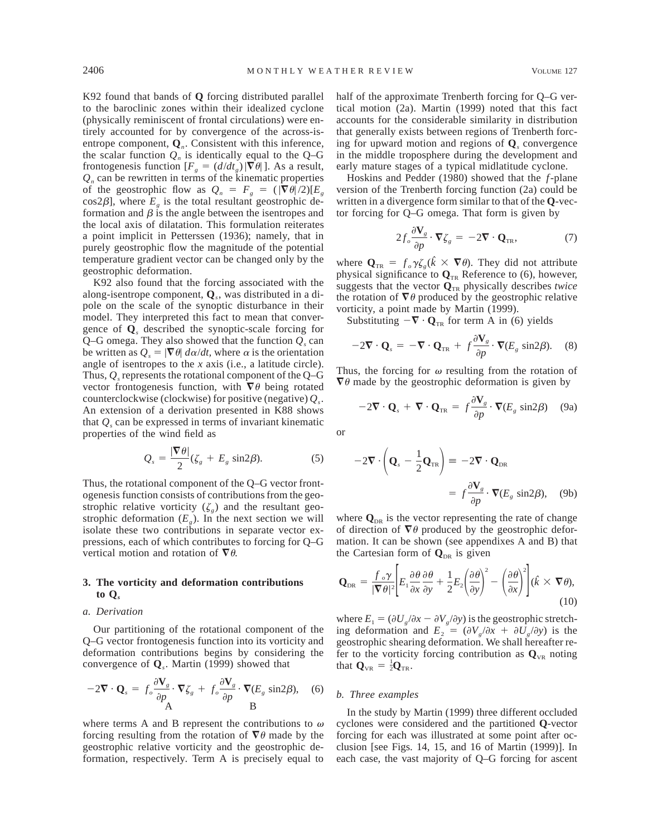K92 found that bands of **Q** forcing distributed parallel to the baroclinic zones within their idealized cyclone (physically reminiscent of frontal circulations) were entirely accounted for by convergence of the across-isentrope component, **Q***n*. Consistent with this inference, the scalar function  $Q_n$  is identically equal to the  $Q-G$ frontogenesis function  $[F<sub>g</sub> = (d/dt<sub>g</sub>) | \nabla \theta]$ . As a result,  $Q_n$  can be rewritten in terms of the kinematic properties of the geostrophic flow as  $Q_n = F_g = (|\nabla \theta|/2)[E_g]$ cos2 $\beta$ ], where  $E_g$  is the total resultant geostrophic deformation and  $\beta$  is the angle between the isentropes and the local axis of dilatation. This formulation reiterates a point implicit in Petterssen (1936); namely, that in purely geostrophic flow the magnitude of the potential temperature gradient vector can be changed only by the geostrophic deformation.

K92 also found that the forcing associated with the along-isentrope component, **Q***s*, was distributed in a dipole on the scale of the synoptic disturbance in their model. They interpreted this fact to mean that convergence of **Q***<sup>s</sup>* described the synoptic-scale forcing for Q–G omega. They also showed that the function  $Q_s$  can be written as  $Q_s = |\nabla \theta| d\alpha/dt$ , where  $\alpha$  is the orientation angle of isentropes to the *x* axis (i.e., a latitude circle). Thus,  $Q_s$  represents the rotational component of the  $Q-G$ vector frontogenesis function, with  $\nabla \theta$  being rotated counterclockwise (clockwise) for positive (negative) *Qs*. An extension of a derivation presented in K88 shows that  $Q_s$  can be expressed in terms of invariant kinematic properties of the wind field as

$$
Q_s = \frac{|\nabla \theta|}{2} (\zeta_s + E_s \sin 2\beta). \tag{5}
$$

Thus, the rotational component of the Q–G vector frontogenesis function consists of contributions from the geostrophic relative vorticity  $(\zeta_g)$  and the resultant geostrophic deformation  $(E_g)$ . In the next section we will isolate these two contributions in separate vector expressions, each of which contributes to forcing for Q–G vertical motion and rotation of  $\nabla \theta$ .

# **3. The vorticity and deformation contributions to Q***<sup>s</sup>*

### *a. Derivation*

Our partitioning of the rotational component of the Q–G vector frontogenesis function into its vorticity and deformation contributions begins by considering the convergence of **Q***s*. Martin (1999) showed that

$$
-2\mathbf{\nabla}\cdot\mathbf{Q}_s = f_o \frac{\partial \mathbf{V}_g}{\partial p} \cdot \mathbf{\nabla}\zeta_g + f_o \frac{\partial \mathbf{V}_g}{\partial p} \cdot \mathbf{\nabla}(E_g \sin 2\beta), \quad (6)
$$

where terms A and B represent the contributions to  $\omega$ forcing resulting from the rotation of  $\nabla \theta$  made by the geostrophic relative vorticity and the geostrophic deformation, respectively. Term A is precisely equal to

half of the approximate Trenberth forcing for Q–G vertical motion (2a). Martin (1999) noted that this fact accounts for the considerable similarity in distribution that generally exists between regions of Trenberth forcing for upward motion and regions of **Q***<sup>s</sup>* convergence in the middle troposphere during the development and early mature stages of a typical midlatitude cyclone.

Hoskins and Pedder (1980) showed that the *f*-plane version of the Trenberth forcing function (2a) could be written in a divergence form similar to that of the **Q**-vector forcing for Q–G omega. That form is given by

$$
2f_o \frac{\partial \mathbf{V}_g}{\partial p} \cdot \nabla \zeta_g = -2\nabla \cdot \mathbf{Q}_{TR},\tag{7}
$$

where  $\mathbf{Q}_{TR} = f_o \gamma \zeta_e(\hat{k} \times \nabla \theta)$ . They did not attribute physical significance to  $\mathbf{Q}_{TR}$  Reference to (6), however, suggests that the vector  $\mathbf{Q}_{TR}$  physically describes *twice* the rotation of  $\nabla \theta$  produced by the geostrophic relative vorticity, a point made by Martin (1999).

Substituting  $-\nabla \cdot \mathbf{Q}_{TR}$  for term A in (6) yields

$$
-2\mathbf{\nabla}\cdot\mathbf{Q}_s = -\mathbf{\nabla}\cdot\mathbf{Q}_{TR} + f\frac{\partial\mathbf{V}_g}{\partial p}\cdot\mathbf{\nabla}(E_g \sin 2\beta). \quad (8)
$$

Thus, the forcing for  $\omega$  resulting from the rotation of  $\nabla \theta$  made by the geostrophic deformation is given by

$$
-2\mathbf{\nabla}\cdot\mathbf{Q}_s + \mathbf{\nabla}\cdot\mathbf{Q}_{\text{TR}} = f \frac{\partial \mathbf{V}_g}{\partial p} \cdot \mathbf{\nabla}(E_g \sin 2\beta) \quad (9a)
$$

or

$$
-2\mathbf{\nabla} \cdot \left(\mathbf{Q}_s - \frac{1}{2}\mathbf{Q}_{TR}\right) \equiv -2\mathbf{\nabla} \cdot \mathbf{Q}_{DR}
$$

$$
= f \frac{\partial \mathbf{V}_s}{\partial p} \cdot \mathbf{\nabla} (E_s \sin 2\beta), \quad (9b)
$$

where  $\mathbf{Q}_{\text{DR}}$  is the vector representing the rate of change of direction of  $\nabla \theta$  produced by the geostrophic deformation. It can be shown (see appendixes A and B) that the Cartesian form of  $\mathbf{Q}_{\text{DR}}$  is given

$$
\mathbf{Q}_{\text{DR}} = \frac{f_{o}\gamma}{|\nabla\theta|^{2}} \bigg[ E_{1} \frac{\partial\theta}{\partial x} \frac{\partial\theta}{\partial y} + \frac{1}{2} E_{2} \bigg( \frac{\partial\theta}{\partial y} \bigg)^{2} - \bigg( \frac{\partial\theta}{\partial x} \bigg)^{2} \bigg] (\hat{k} \times \nabla\theta), \tag{10}
$$

where  $E_1 = (\partial U_g / \partial x - \partial V_g / \partial y)$  is the geostrophic stretching deformation and  $E_2 = (\partial V_g / \partial x + \partial U_g / \partial y)$  is the geostrophic shearing deformation. We shall hereafter refer to the vorticity forcing contribution as  $\mathbf{Q}_{VR}$  noting that  $\mathbf{Q}_{\text{VR}} = \frac{1}{2}\mathbf{Q}_{\text{TR}}$ .

# *b. Three examples*

In the study by Martin (1999) three different occluded cyclones were considered and the partitioned **Q**-vector forcing for each was illustrated at some point after occlusion [see Figs. 14, 15, and 16 of Martin (1999)]. In each case, the vast majority of Q–G forcing for ascent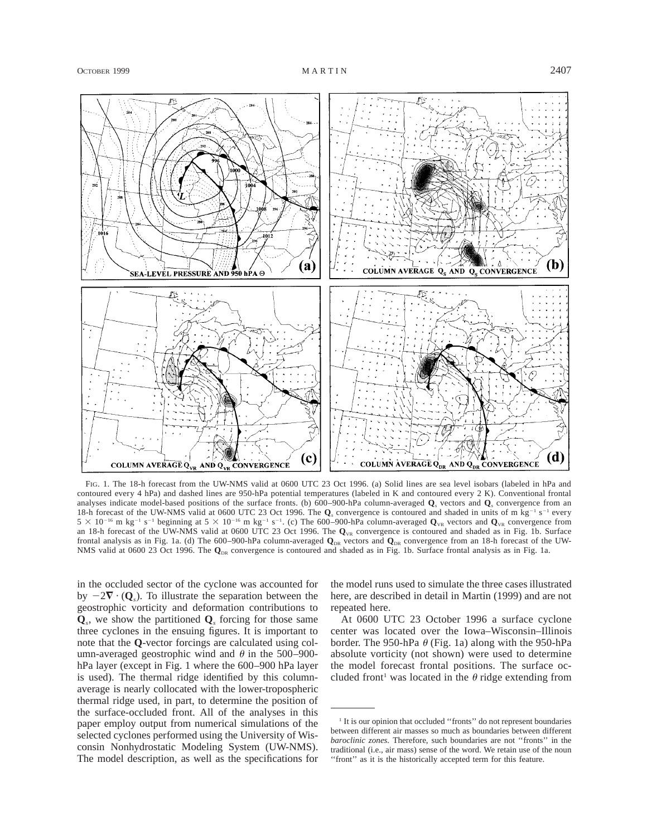

FIG. 1. The 18-h forecast from the UW-NMS valid at 0600 UTC 23 Oct 1996. (a) Solid lines are sea level isobars (labeled in hPa and contoured every 4 hPa) and dashed lines are 950-hPa potential temperatures (labeled in K and contoured every 2 K). Conventional frontal analyses indicate model-based positions of the surface fronts. (b) 600–900-hPa column-averaged **Q***<sup>s</sup>* vectors and **Q***<sup>s</sup>* convergence from an 18-h forecast of the UW-NMS valid at 0600 UTC 23 Oct 1996. The **Q**<sub>*s*</sub> convergence is contoured and shaded in units of m kg<sup>-1</sup> s<sup>-1</sup> every  $5 \times 10^{-16}$  m kg<sup>-1</sup> s<sup>-1</sup> beginning at  $5 \times 10^{-16}$  m kg<sup>-1</sup> s<sup>-1</sup>. (c) The 600–900-hPa column-averaged  $Q_{VR}$  vectors and  $Q_{VR}$  convergence from an 18-h forecast of the UW-NMS valid at 0600 UTC 23 Oct 1996. The  $\mathbf{Q}_{\text{VR}}$  convergence is contoured and shaded as in Fig. 1b. Surface frontal analysis as in Fig. 1a. (d) The 600–900-hPa column-averaged  $\mathbf{Q}_{DR}$  vectors and  $\mathbf{Q}_{DR}$  convergence from an 18-h forecast of the UW-NMS valid at 0600 23 Oct 1996. The  $\mathbf{Q}_{DR}$  convergence is contoured and shaded as in Fig. 1b. Surface frontal analysis as in Fig. 1a.

in the occluded sector of the cyclone was accounted for by  $-2\nabla \cdot (\mathbf{Q})$ . To illustrate the separation between the geostrophic vorticity and deformation contributions to  $\mathbf{Q}_s$ , we show the partitioned  $\mathbf{Q}_s$  forcing for those same three cyclones in the ensuing figures. It is important to note that the **Q**-vector forcings are calculated using column-averaged geostrophic wind and  $\theta$  in the 500–900hPa layer (except in Fig. 1 where the 600–900 hPa layer is used). The thermal ridge identified by this columnaverage is nearly collocated with the lower-tropospheric thermal ridge used, in part, to determine the position of the surface-occluded front. All of the analyses in this paper employ output from numerical simulations of the selected cyclones performed using the University of Wisconsin Nonhydrostatic Modeling System (UW-NMS). The model description, as well as the specifications for the model runs used to simulate the three cases illustrated here, are described in detail in Martin (1999) and are not repeated here.

At 0600 UTC 23 October 1996 a surface cyclone center was located over the Iowa–Wisconsin–Illinois border. The 950-hPa  $\theta$  (Fig. 1a) along with the 950-hPa absolute vorticity (not shown) were used to determine the model forecast frontal positions. The surface occluded front<sup>1</sup> was located in the  $\theta$  ridge extending from

<sup>&</sup>lt;sup>1</sup> It is our opinion that occluded "fronts" do not represent boundaries between different air masses so much as boundaries between different *baroclinic zones.* Therefore, such boundaries are not ''fronts'' in the traditional (i.e., air mass) sense of the word. We retain use of the noun "front" as it is the historically accepted term for this feature.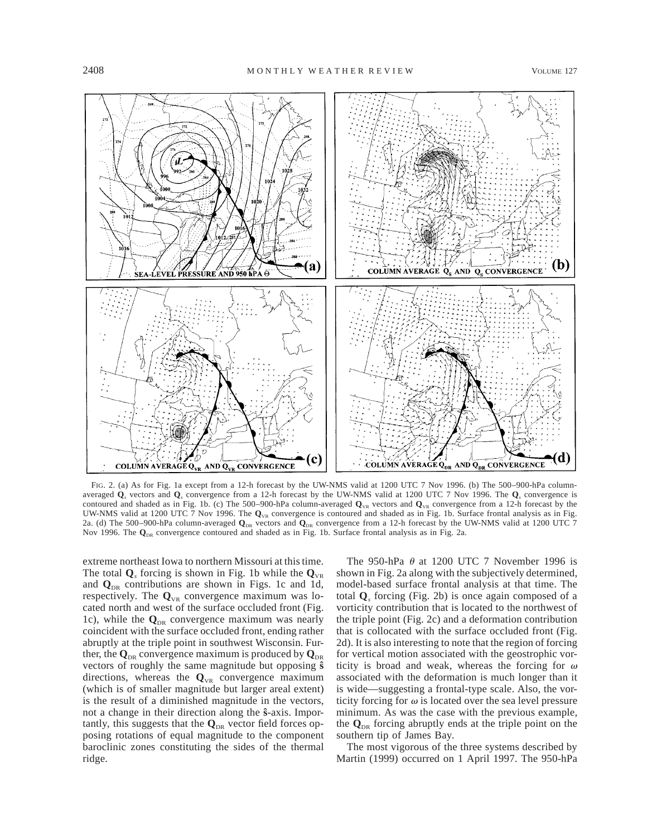

FIG. 2. (a) As for Fig. 1a except from a 12-h forecast by the UW-NMS valid at 1200 UTC 7 Nov 1996. (b) The 500–900-hPa columnaveraged **Q***<sup>s</sup>* vectors and **Q***<sup>s</sup>* convergence from a 12-h forecast by the UW-NMS valid at 1200 UTC 7 Nov 1996. The **Q***<sup>s</sup>* convergence is contoured and shaded as in Fig. 1b. (c) The 500–900-hPa column-averaged  $\mathbf{Q}_{\text{VR}}$  vectors and  $\mathbf{Q}_{\text{VR}}$  convergence from a 12-h forecast by the UW-NMS valid at 1200 UTC 7 Nov 1996. The  $Q_{VR}$  convergence is contoured and shaded as in Fig. 1b. Surface frontal analysis as in Fig. 2a. (d) The 500–900-hPa column-averaged  $\mathbf{Q}_{DR}$  vectors and  $\mathbf{Q}_{DR}$  convergence from a 12-h forecast by the UW-NMS valid at 1200 UTC 7 Nov 1996. The  $\mathbf{Q}_{\text{DR}}$  convergence contoured and shaded as in Fig. 1b. Surface frontal analysis as in Fig. 2a.

extreme northeast Iowa to northern Missouri at this time. The total  $\mathbf{Q}_s$  forcing is shown in Fig. 1b while the  $\mathbf{Q}_{vR}$ and  $\mathbf{Q}_{DR}$  contributions are shown in Figs. 1c and 1d, respectively. The  $Q_{VR}$  convergence maximum was located north and west of the surface occluded front (Fig. 1c), while the  $\mathbf{Q}_{DR}$  convergence maximum was nearly coincident with the surface occluded front, ending rather abruptly at the triple point in southwest Wisconsin. Further, the  $\mathbf{Q}_{\text{DR}}$  convergence maximum is produced by  $\mathbf{Q}_{\text{DR}}$ vectors of roughly the same magnitude but opposing **sˆ** directions, whereas the  $Q_{VR}$  convergence maximum (which is of smaller magnitude but larger areal extent) is the result of a diminished magnitude in the vectors, not a change in their direction along the **sˆ**-axis. Importantly, this suggests that the  $\mathbf{Q}_{\text{DR}}$  vector field forces opposing rotations of equal magnitude to the component baroclinic zones constituting the sides of the thermal ridge.

The 950-hPa  $\theta$  at 1200 UTC 7 November 1996 is shown in Fig. 2a along with the subjectively determined, model-based surface frontal analysis at that time. The total **Q***<sup>s</sup>* forcing (Fig. 2b) is once again composed of a vorticity contribution that is located to the northwest of the triple point (Fig. 2c) and a deformation contribution that is collocated with the surface occluded front (Fig. 2d). It is also interesting to note that the region of forcing for vertical motion associated with the geostrophic vorticity is broad and weak, whereas the forcing for  $\omega$ associated with the deformation is much longer than it is wide—suggesting a frontal-type scale. Also, the vorticity forcing for  $\omega$  is located over the sea level pressure minimum. As was the case with the previous example, the  $\mathbf{Q}_{\text{DR}}$  forcing abruptly ends at the triple point on the southern tip of James Bay.

The most vigorous of the three systems described by Martin (1999) occurred on 1 April 1997. The 950-hPa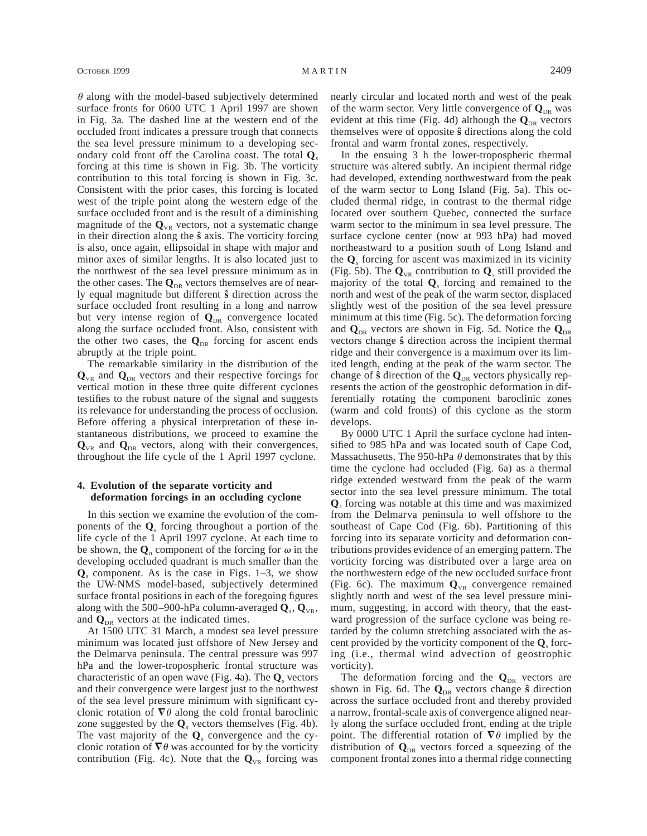$\theta$  along with the model-based subjectively determined surface fronts for 0600 UTC 1 April 1997 are shown in Fig. 3a. The dashed line at the western end of the occluded front indicates a pressure trough that connects the sea level pressure minimum to a developing secondary cold front off the Carolina coast. The total **Q***<sup>s</sup>* forcing at this time is shown in Fig. 3b. The vorticity contribution to this total forcing is shown in Fig. 3c. Consistent with the prior cases, this forcing is located west of the triple point along the western edge of the surface occluded front and is the result of a diminishing magnitude of the  $\mathbf{Q}_{\text{VR}}$  vectors, not a systematic change in their direction along the **sˆ** axis. The vorticity forcing is also, once again, ellipsoidal in shape with major and minor axes of similar lengths. It is also located just to the northwest of the sea level pressure minimum as in the other cases. The  $\mathbf{Q}_{\text{DR}}$  vectors themselves are of nearly equal magnitude but different **sˆ** direction across the surface occluded front resulting in a long and narrow but very intense region of  $Q_{DR}$  convergence located along the surface occluded front. Also, consistent with the other two cases, the  $\mathbf{Q}_{DR}$  forcing for ascent ends abruptly at the triple point.

The remarkable similarity in the distribution of the  $\mathbf{Q}_{\text{VR}}$  and  $\mathbf{Q}_{\text{DR}}$  vectors and their respective forcings for vertical motion in these three quite different cyclones testifies to the robust nature of the signal and suggests its relevance for understanding the process of occlusion. Before offering a physical interpretation of these instantaneous distributions, we proceed to examine the  $\mathbf{Q}_{\text{VR}}$  and  $\mathbf{Q}_{\text{DR}}$  vectors, along with their convergences, throughout the life cycle of the 1 April 1997 cyclone.

## **4. Evolution of the separate vorticity and deformation forcings in an occluding cyclone**

In this section we examine the evolution of the components of the **Q***<sup>s</sup>* forcing throughout a portion of the life cycle of the 1 April 1997 cyclone. At each time to be shown, the  $\mathbf{Q}_n$  component of the forcing for  $\omega$  in the developing occluded quadrant is much smaller than the  $\mathbf{Q}_s$  component. As is the case in Figs. 1–3, we show the UW-NMS model-based, subjectively determined surface frontal positions in each of the foregoing figures along with the 500–900-hPa column-averaged  $Q_s$ ,  $Q_{vR}$ , and  $\mathbf{Q}_{\text{DR}}$  vectors at the indicated times.

At 1500 UTC 31 March, a modest sea level pressure minimum was located just offshore of New Jersey and the Delmarva peninsula. The central pressure was 997 hPa and the lower-tropospheric frontal structure was characteristic of an open wave (Fig. 4a). The **Q***<sup>s</sup>* vectors and their convergence were largest just to the northwest of the sea level pressure minimum with significant cyclonic rotation of  $\nabla \theta$  along the cold frontal baroclinic zone suggested by the **Q***<sup>s</sup>* vectors themselves (Fig. 4b). The vast majority of the **Q***<sup>s</sup>* convergence and the cyclonic rotation of  $\nabla \theta$  was accounted for by the vorticity contribution (Fig. 4c). Note that the  $Q_{VR}$  forcing was

nearly circular and located north and west of the peak of the warm sector. Very little convergence of  $\mathbf{Q}_{\text{DR}}$  was evident at this time (Fig. 4d) although the  $\mathbf{Q}_{DR}$  vectors themselves were of opposite **sˆ** directions along the cold frontal and warm frontal zones, respectively.

In the ensuing 3 h the lower-tropospheric thermal structure was altered subtly. An incipient thermal ridge had developed, extending northwestward from the peak of the warm sector to Long Island (Fig. 5a). This occluded thermal ridge, in contrast to the thermal ridge located over southern Quebec, connected the surface warm sector to the minimum in sea level pressure. The surface cyclone center (now at 993 hPa) had moved northeastward to a position south of Long Island and the **Q***<sup>s</sup>* forcing for ascent was maximized in its vicinity (Fig. 5b). The  $\mathbf{Q}_{VR}$  contribution to  $\mathbf{Q}_s$  still provided the majority of the total **Q***<sup>s</sup>* forcing and remained to the north and west of the peak of the warm sector, displaced slightly west of the position of the sea level pressure minimum at this time (Fig. 5c). The deformation forcing and  $\mathbf{Q}_{\text{DR}}$  vectors are shown in Fig. 5d. Notice the  $\mathbf{Q}_{\text{DR}}$ vectors change **sˆ** direction across the incipient thermal ridge and their convergence is a maximum over its limited length, ending at the peak of the warm sector. The change of  $\hat{\mathbf{s}}$  direction of the  $\mathbf{Q}_{DR}$  vectors physically represents the action of the geostrophic deformation in differentially rotating the component baroclinic zones (warm and cold fronts) of this cyclone as the storm develops.

By 0000 UTC 1 April the surface cyclone had intensified to 985 hPa and was located south of Cape Cod, Massachusetts. The 950-hPa  $\theta$  demonstrates that by this time the cyclone had occluded (Fig. 6a) as a thermal ridge extended westward from the peak of the warm sector into the sea level pressure minimum. The total **Q***<sup>s</sup>* forcing was notable at this time and was maximized from the Delmarva peninsula to well offshore to the southeast of Cape Cod (Fig. 6b). Partitioning of this forcing into its separate vorticity and deformation contributions provides evidence of an emerging pattern. The vorticity forcing was distributed over a large area on the northwestern edge of the new occluded surface front (Fig. 6c). The maximum  $Q_{VR}$  convergence remained slightly north and west of the sea level pressure minimum, suggesting, in accord with theory, that the eastward progression of the surface cyclone was being retarded by the column stretching associated with the ascent provided by the vorticity component of the **Q***<sup>s</sup>* forcing (i.e., thermal wind advection of geostrophic vorticity).

The deformation forcing and the  $Q_{DR}$  vectors are shown in Fig. 6d. The  $Q_{DR}$  vectors change  $\hat{\mathbf{s}}$  direction across the surface occluded front and thereby provided a narrow, frontal-scale axis of convergence aligned nearly along the surface occluded front, ending at the triple point. The differential rotation of  $\nabla \theta$  implied by the distribution of  $Q_{DR}$  vectors forced a squeezing of the component frontal zones into a thermal ridge connecting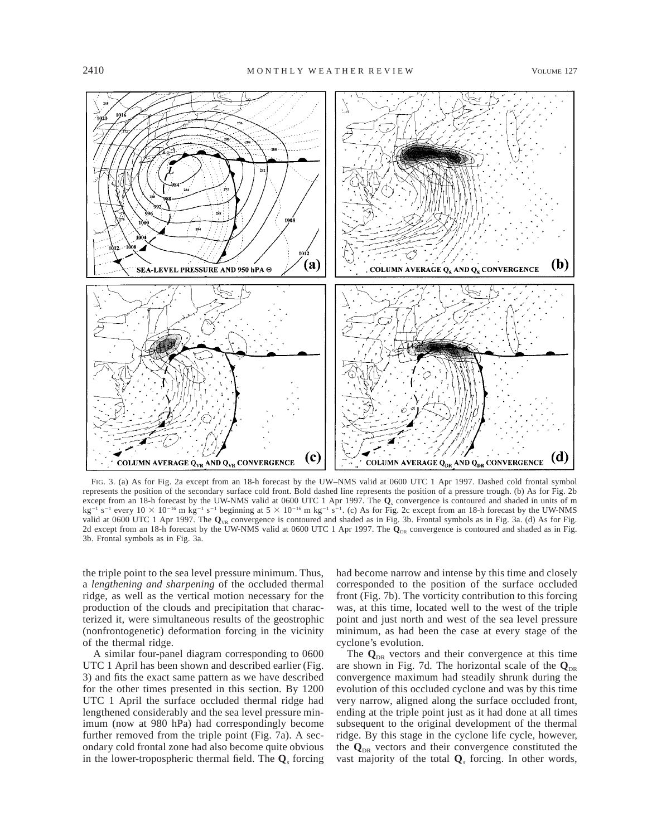

FIG. 3. (a) As for Fig. 2a except from an 18-h forecast by the UW–NMS valid at 0600 UTC 1 Apr 1997. Dashed cold frontal symbol represents the position of the secondary surface cold front. Bold dashed line represents the position of a pressure trough. (b) As for Fig. 2b except from an 18-h forecast by the UW-NMS valid at 0600 UTC 1 Apr 1997. The **Q***<sup>s</sup>* convergence is contoured and shaded in units of m kg<sup>-1</sup> s<sup>-1</sup> every  $10 \times 10^{-16}$  m kg<sup>-1</sup> s<sup>-1</sup> beginning at  $5 \times 10^{-16}$  m kg<sup>-1</sup> s<sup>-1</sup>. (c) As for Fig. 2c except from an 18-h forecast by the UW-NMS valid at 0600 UTC 1 Apr 1997. The  $Q_{\text{VR}}$  convergence is contoured and shaded as in Fig. 3b. Frontal symbols as in Fig. 3a. (d) As for Fig. 2d except from an 18-h forecast by the UW-NMS valid at 0600 UTC 1 Apr 1997. The  $\dot{Q}_{DR}$  convergence is contoured and shaded as in Fig. 3b. Frontal symbols as in Fig. 3a.

the triple point to the sea level pressure minimum. Thus, a *lengthening and sharpening* of the occluded thermal ridge, as well as the vertical motion necessary for the production of the clouds and precipitation that characterized it, were simultaneous results of the geostrophic (nonfrontogenetic) deformation forcing in the vicinity of the thermal ridge.

A similar four-panel diagram corresponding to 0600 UTC 1 April has been shown and described earlier (Fig. 3) and fits the exact same pattern as we have described for the other times presented in this section. By 1200 UTC 1 April the surface occluded thermal ridge had lengthened considerably and the sea level pressure minimum (now at 980 hPa) had correspondingly become further removed from the triple point (Fig. 7a). A secondary cold frontal zone had also become quite obvious in the lower-tropospheric thermal field. The **Q***<sup>s</sup>* forcing

had become narrow and intense by this time and closely corresponded to the position of the surface occluded front (Fig. 7b). The vorticity contribution to this forcing was, at this time, located well to the west of the triple point and just north and west of the sea level pressure minimum, as had been the case at every stage of the cyclone's evolution.

The  $\mathbf{Q}_{\text{DR}}$  vectors and their convergence at this time are shown in Fig. 7d. The horizontal scale of the  $Q_{DR}$ convergence maximum had steadily shrunk during the evolution of this occluded cyclone and was by this time very narrow, aligned along the surface occluded front, ending at the triple point just as it had done at all times subsequent to the original development of the thermal ridge. By this stage in the cyclone life cycle, however, the  $\mathbf{Q}_{\text{DR}}$  vectors and their convergence constituted the vast majority of the total **Q***<sup>s</sup>* forcing. In other words,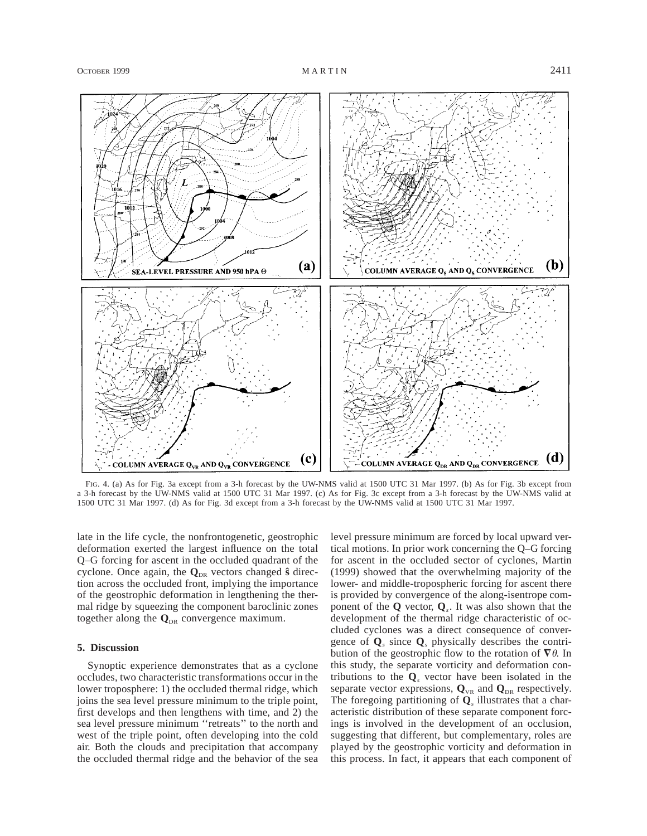

FIG. 4. (a) As for Fig. 3a except from a 3-h forecast by the UW-NMS valid at 1500 UTC 31 Mar 1997. (b) As for Fig. 3b except from a 3-h forecast by the UW-NMS valid at 1500 UTC 31 Mar 1997. (c) As for Fig. 3c except from a 3-h forecast by the UW-NMS valid at 1500 UTC 31 Mar 1997. (d) As for Fig. 3d except from a 3-h forecast by the UW-NMS valid at 1500 UTC 31 Mar 1997.

late in the life cycle, the nonfrontogenetic, geostrophic deformation exerted the largest influence on the total Q–G forcing for ascent in the occluded quadrant of the cyclone. Once again, the  $Q_{DR}$  vectors changed  $\hat{\mathbf{s}}$  direction across the occluded front, implying the importance of the geostrophic deformation in lengthening the thermal ridge by squeezing the component baroclinic zones together along the  $\mathbf{Q}_{DR}$  convergence maximum.

#### **5. Discussion**

Synoptic experience demonstrates that as a cyclone occludes, two characteristic transformations occur in the lower troposphere: 1) the occluded thermal ridge, which joins the sea level pressure minimum to the triple point, first develops and then lengthens with time, and 2) the sea level pressure minimum ''retreats'' to the north and west of the triple point, often developing into the cold air. Both the clouds and precipitation that accompany the occluded thermal ridge and the behavior of the sea level pressure minimum are forced by local upward vertical motions. In prior work concerning the Q–G forcing for ascent in the occluded sector of cyclones, Martin (1999) showed that the overwhelming majority of the lower- and middle-tropospheric forcing for ascent there is provided by convergence of the along-isentrope component of the **Q** vector, **Q***s*. It was also shown that the development of the thermal ridge characteristic of occluded cyclones was a direct consequence of convergence of  $\mathbf{Q}_s$  since  $\mathbf{Q}_s$  physically describes the contribution of the geostrophic flow to the rotation of  $\nabla \theta$ . In this study, the separate vorticity and deformation contributions to the **Q***<sup>s</sup>* vector have been isolated in the separate vector expressions,  $Q_{VR}$  and  $Q_{DR}$  respectively. The foregoing partitioning of **Q***<sup>s</sup>* illustrates that a characteristic distribution of these separate component forcings is involved in the development of an occlusion, suggesting that different, but complementary, roles are played by the geostrophic vorticity and deformation in this process. In fact, it appears that each component of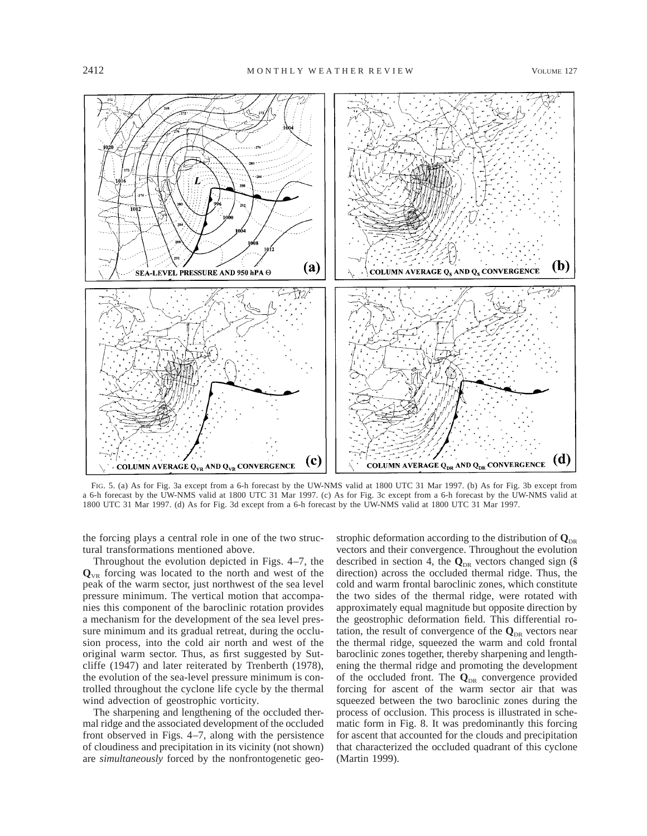

FIG. 5. (a) As for Fig. 3a except from a 6-h forecast by the UW-NMS valid at 1800 UTC 31 Mar 1997. (b) As for Fig. 3b except from a 6-h forecast by the UW-NMS valid at 1800 UTC 31 Mar 1997. (c) As for Fig. 3c except from a 6-h forecast by the UW-NMS valid at 1800 UTC 31 Mar 1997. (d) As for Fig. 3d except from a 6-h forecast by the UW-NMS valid at 1800 UTC 31 Mar 1997.

the forcing plays a central role in one of the two structural transformations mentioned above.

Throughout the evolution depicted in Figs. 4–7, the  $Q_{VR}$  forcing was located to the north and west of the peak of the warm sector, just northwest of the sea level pressure minimum. The vertical motion that accompanies this component of the baroclinic rotation provides a mechanism for the development of the sea level pressure minimum and its gradual retreat, during the occlusion process, into the cold air north and west of the original warm sector. Thus, as first suggested by Sutcliffe (1947) and later reiterated by Trenberth (1978), the evolution of the sea-level pressure minimum is controlled throughout the cyclone life cycle by the thermal wind advection of geostrophic vorticity.

The sharpening and lengthening of the occluded thermal ridge and the associated development of the occluded front observed in Figs. 4–7, along with the persistence of cloudiness and precipitation in its vicinity (not shown) are *simultaneously* forced by the nonfrontogenetic geostrophic deformation according to the distribution of  $\mathbf{Q}_{\text{DR}}$ vectors and their convergence. Throughout the evolution described in section 4, the  $Q_{DR}$  vectors changed sign ( $\hat{s}$ direction) across the occluded thermal ridge. Thus, the cold and warm frontal baroclinic zones, which constitute the two sides of the thermal ridge, were rotated with approximately equal magnitude but opposite direction by the geostrophic deformation field. This differential rotation, the result of convergence of the  $\mathbf{Q}_{\text{DR}}$  vectors near the thermal ridge, squeezed the warm and cold frontal baroclinic zones together, thereby sharpening and lengthening the thermal ridge and promoting the development of the occluded front. The  $Q_{DR}$  convergence provided forcing for ascent of the warm sector air that was squeezed between the two baroclinic zones during the process of occlusion. This process is illustrated in schematic form in Fig. 8. It was predominantly this forcing for ascent that accounted for the clouds and precipitation that characterized the occluded quadrant of this cyclone (Martin 1999).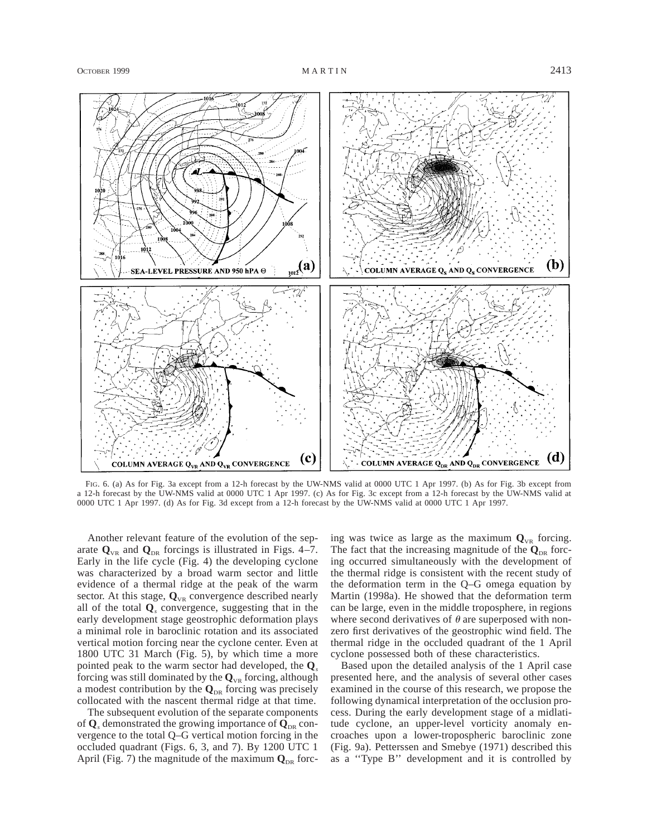

FIG. 6. (a) As for Fig. 3a except from a 12-h forecast by the UW-NMS valid at 0000 UTC 1 Apr 1997. (b) As for Fig. 3b except from a 12-h forecast by the UW-NMS valid at 0000 UTC 1 Apr 1997. (c) As for Fig. 3c except from a 12-h forecast by the UW-NMS valid at 0000 UTC 1 Apr 1997. (d) As for Fig. 3d except from a 12-h forecast by the UW-NMS valid at 0000 UTC 1 Apr 1997.

Another relevant feature of the evolution of the separate  $\mathbf{Q}_{\text{VR}}$  and  $\mathbf{Q}_{\text{DR}}$  forcings is illustrated in Figs. 4–7. Early in the life cycle (Fig. 4) the developing cyclone was characterized by a broad warm sector and little evidence of a thermal ridge at the peak of the warm sector. At this stage,  $Q_{VR}$  convergence described nearly all of the total **Q***<sup>s</sup>* convergence, suggesting that in the early development stage geostrophic deformation plays a minimal role in baroclinic rotation and its associated vertical motion forcing near the cyclone center. Even at 1800 UTC 31 March (Fig. 5), by which time a more pointed peak to the warm sector had developed, the **Q***<sup>s</sup>* forcing was still dominated by the  $Q_{VR}$  forcing, although a modest contribution by the  $\mathbf{Q}_{\text{DR}}$  forcing was precisely collocated with the nascent thermal ridge at that time.

The subsequent evolution of the separate components of  $\mathbf{Q}_s$  demonstrated the growing importance of  $\mathbf{Q}_{\text{DR}}$  convergence to the total Q–G vertical motion forcing in the occluded quadrant (Figs. 6, 3, and 7). By 1200 UTC 1 April (Fig. 7) the magnitude of the maximum  $\mathbf{Q}_{DR}$  forcing was twice as large as the maximum  $Q_{VR}$  forcing. The fact that the increasing magnitude of the  $\mathbf{Q}_{\text{DR}}$  forcing occurred simultaneously with the development of the thermal ridge is consistent with the recent study of the deformation term in the Q–G omega equation by Martin (1998a). He showed that the deformation term can be large, even in the middle troposphere, in regions where second derivatives of  $\theta$  are superposed with nonzero first derivatives of the geostrophic wind field. The thermal ridge in the occluded quadrant of the 1 April cyclone possessed both of these characteristics.

Based upon the detailed analysis of the 1 April case presented here, and the analysis of several other cases examined in the course of this research, we propose the following dynamical interpretation of the occlusion process. During the early development stage of a midlatitude cyclone, an upper-level vorticity anomaly encroaches upon a lower-tropospheric baroclinic zone (Fig. 9a). Petterssen and Smebye (1971) described this as a ''Type B'' development and it is controlled by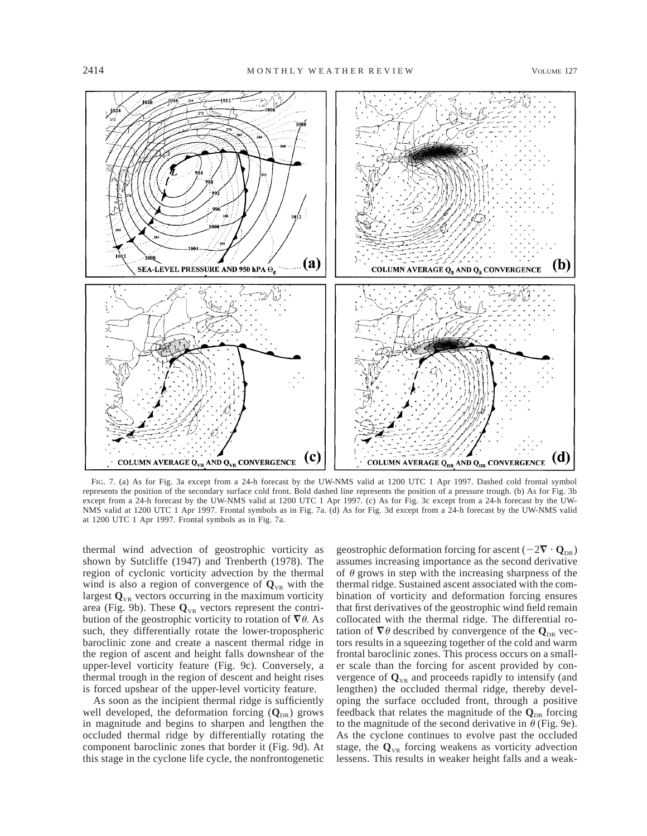

FIG. 7. (a) As for Fig. 3a except from a 24-h forecast by the UW-NMS valid at 1200 UTC 1 Apr 1997. Dashed cold frontal symbol represents the position of the secondary surface cold front. Bold dashed line represents the position of a pressure trough. (b) As for Fig. 3b except from a 24-h forecast by the UW-NMS valid at 1200 UTC 1 Apr 1997. (c) As for Fig. 3c except from a 24-h forecast by the UW-NMS valid at 1200 UTC 1 Apr 1997. Frontal symbols as in Fig. 7a. (d) As for Fig. 3d except from a 24-h forecast by the UW-NMS valid at 1200 UTC 1 Apr 1997. Frontal symbols as in Fig. 7a.

thermal wind advection of geostrophic vorticity as shown by Sutcliffe (1947) and Trenberth (1978). The region of cyclonic vorticity advection by the thermal wind is also a region of convergence of  $\mathbf{Q}_{VR}$  with the largest  $\mathbf{Q}_{\text{VR}}$  vectors occurring in the maximum vorticity area (Fig. 9b). These  $Q_{VR}$  vectors represent the contribution of the geostrophic vorticity to rotation of  $\nabla \theta$ . As such, they differentially rotate the lower-tropospheric baroclinic zone and create a nascent thermal ridge in the region of ascent and height falls downshear of the upper-level vorticity feature (Fig. 9c). Conversely, a thermal trough in the region of descent and height rises is forced upshear of the upper-level vorticity feature.

As soon as the incipient thermal ridge is sufficiently well developed, the deformation forcing ( $Q_{DR}$ ) grows in magnitude and begins to sharpen and lengthen the occluded thermal ridge by differentially rotating the component baroclinic zones that border it (Fig. 9d). At this stage in the cyclone life cycle, the nonfrontogenetic

geostrophic deformation forcing for ascent ( $-2\nabla \cdot \mathbf{Q}_{\text{DR}}$ ) assumes increasing importance as the second derivative of  $\theta$  grows in step with the increasing sharpness of the thermal ridge. Sustained ascent associated with the combination of vorticity and deformation forcing ensures that first derivatives of the geostrophic wind field remain collocated with the thermal ridge. The differential rotation of  $\nabla \theta$  described by convergence of the  $\mathbf{Q}_{DR}$  vectors results in a squeezing together of the cold and warm frontal baroclinic zones. This process occurs on a smaller scale than the forcing for ascent provided by convergence of  $\mathbf{Q}_{\text{VR}}$  and proceeds rapidly to intensify (and lengthen) the occluded thermal ridge, thereby developing the surface occluded front, through a positive feedback that relates the magnitude of the  $\mathbf{Q}_{\text{DR}}$  forcing to the magnitude of the second derivative in  $\theta$  (Fig. 9e). As the cyclone continues to evolve past the occluded stage, the  $Q_{VR}$  forcing weakens as vorticity advection lessens. This results in weaker height falls and a weak-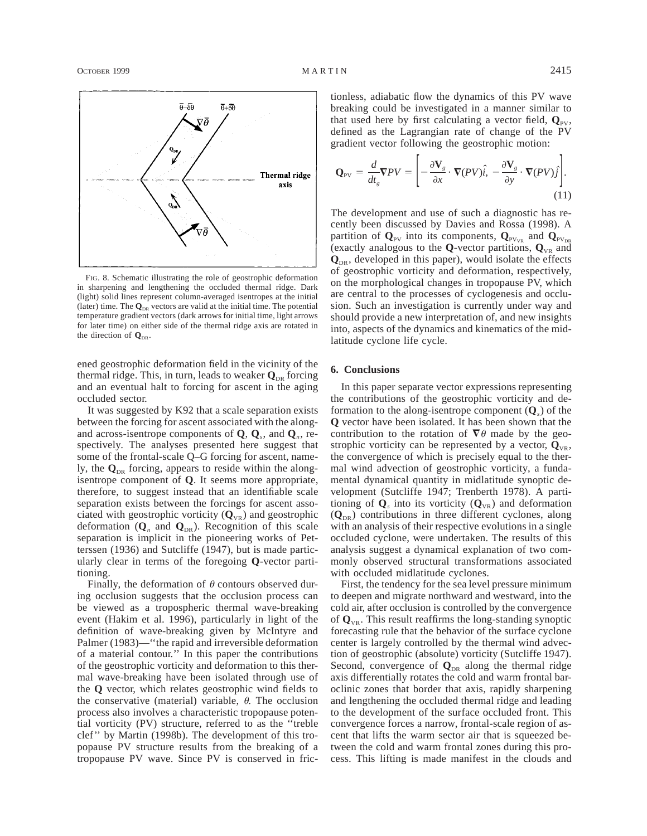

FIG. 8. Schematic illustrating the role of geostrophic deformation in sharpening and lengthening the occluded thermal ridge. Dark (light) solid lines represent column-averaged isentropes at the initial (later) time. The  $\mathbf{Q}_{\text{DR}}$  vectors are valid at the initial time. The potential temperature gradient vectors (dark arrows for initial time, light arrows for later time) on either side of the thermal ridge axis are rotated in the direction of  $\mathbf{Q}_{\text{DE}}$ .

ened geostrophic deformation field in the vicinity of the thermal ridge. This, in turn, leads to weaker  $\mathbf{Q}_{\text{DR}}$  forcing and an eventual halt to forcing for ascent in the aging occluded sector.

It was suggested by K92 that a scale separation exists between the forcing for ascent associated with the alongand across-isentrope components of **Q**, **Q***s*, and **Q***n*, respectively. The analyses presented here suggest that some of the frontal-scale Q–G forcing for ascent, namely, the  $\mathbf{Q}_{DR}$  forcing, appears to reside within the alongisentrope component of **Q**. It seems more appropriate, therefore, to suggest instead that an identifiable scale separation exists between the forcings for ascent associated with geostrophic vorticity  $(Q_{VR})$  and geostrophic deformation  $(Q_n$  and  $Q_{DR}$ ). Recognition of this scale separation is implicit in the pioneering works of Petterssen (1936) and Sutcliffe (1947), but is made particularly clear in terms of the foregoing **Q**-vector partitioning.

Finally, the deformation of  $\theta$  contours observed during occlusion suggests that the occlusion process can be viewed as a tropospheric thermal wave-breaking event (Hakim et al. 1996), particularly in light of the definition of wave-breaking given by McIntyre and Palmer (1983)—''the rapid and irreversible deformation of a material contour.'' In this paper the contributions of the geostrophic vorticity and deformation to this thermal wave-breaking have been isolated through use of the **Q** vector, which relates geostrophic wind fields to the conservative (material) variable,  $\theta$ . The occlusion process also involves a characteristic tropopause potential vorticity (PV) structure, referred to as the ''treble clef'' by Martin (1998b). The development of this tropopause PV structure results from the breaking of a tropopause PV wave. Since PV is conserved in frictionless, adiabatic flow the dynamics of this PV wave breaking could be investigated in a manner similar to that used here by first calculating a vector field,  $\mathbf{Q}_{PV}$ , defined as the Lagrangian rate of change of the PV gradient vector following the geostrophic motion:

$$
\mathbf{Q}_{\text{PV}} = \frac{d}{dt_g} \nabla P V = \left[ -\frac{\partial \mathbf{V}_g}{\partial x} \cdot \nabla (PV)\hat{i}, -\frac{\partial \mathbf{V}_g}{\partial y} \cdot \nabla (PV)\hat{j} \right].
$$
\n(11)

The development and use of such a diagnostic has recently been discussed by Davies and Rossa (1998). A partition of  $\mathbf{Q}_{\text{PV}}$  into its components,  $\mathbf{Q}_{\text{PV}_{\text{VR}}}$  and  $\mathbf{Q}_{\text{PV}_{\text{DR}}}$ (exactly analogous to the **Q**-vector partitions,  $\mathbf{Q}_{VR}$  and  $\mathbf{Q}_{\text{DR}}$ , developed in this paper), would isolate the effects of geostrophic vorticity and deformation, respectively, on the morphological changes in tropopause PV, which are central to the processes of cyclogenesis and occlusion. Such an investigation is currently under way and should provide a new interpretation of, and new insights into, aspects of the dynamics and kinematics of the midlatitude cyclone life cycle.

#### **6. Conclusions**

In this paper separate vector expressions representing the contributions of the geostrophic vorticity and deformation to the along-isentrope component (**Q***s*) of the **Q** vector have been isolated. It has been shown that the contribution to the rotation of  $\nabla \theta$  made by the geostrophic vorticity can be represented by a vector,  $Q_{V\text{R}}$ , the convergence of which is precisely equal to the thermal wind advection of geostrophic vorticity, a fundamental dynamical quantity in midlatitude synoptic development (Sutcliffe 1947; Trenberth 1978). A partitioning of  $\mathbf{Q}_s$  into its vorticity  $(\mathbf{Q}_{VR})$  and deformation  $(Q_{\text{DR}})$  contributions in three different cyclones, along with an analysis of their respective evolutions in a single occluded cyclone, were undertaken. The results of this analysis suggest a dynamical explanation of two commonly observed structural transformations associated with occluded midlatitude cyclones.

First, the tendency for the sea level pressure minimum to deepen and migrate northward and westward, into the cold air, after occlusion is controlled by the convergence of  $\mathbf{Q}_{\text{VR}}$ . This result reaffirms the long-standing synoptic forecasting rule that the behavior of the surface cyclone center is largely controlled by the thermal wind advection of geostrophic (absolute) vorticity (Sutcliffe 1947). Second, convergence of  $\mathbf{Q}_{DR}$  along the thermal ridge axis differentially rotates the cold and warm frontal baroclinic zones that border that axis, rapidly sharpening and lengthening the occluded thermal ridge and leading to the development of the surface occluded front. This convergence forces a narrow, frontal-scale region of ascent that lifts the warm sector air that is squeezed between the cold and warm frontal zones during this process. This lifting is made manifest in the clouds and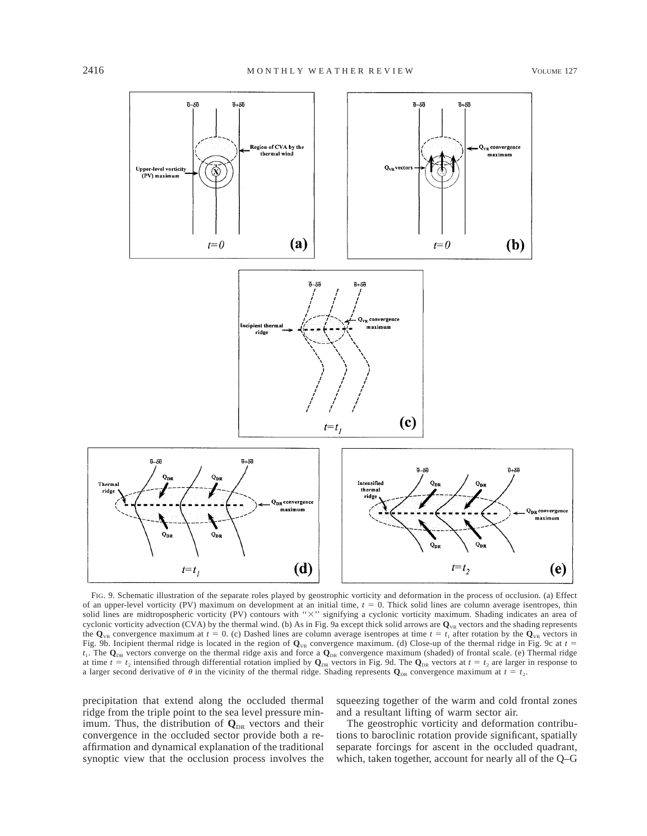

FIG. 9. Schematic illustration of the separate roles played by geostrophic vorticity and deformation in the process of occlusion. (a) Effect of an upper-level vorticity (PV) maximum on development at an initial time,  $t = 0$ . Thick solid lines are column average isentropes, thin solid lines are midtropospheric vorticity (PV) contours with "X" signifying a cyclonic vorticity maximum. Shading indicates an area of cyclonic vorticity advection (CVA) by the thermal wind. (b) As in Fig. 9a except thick solid arrows are  $\mathbf{Q}_{\text{VR}}$  vectors and the shading represents the  $\mathbf{Q}_{\text{VR}}$  convergence maximum at  $t = 0$ . (c) Dashed lines are column average isentropes at time  $t = t_1$  after rotation by the  $\mathbf{Q}_{\text{VR}}$  vectors in Fig. 9b. Incipient thermal ridge is located in the region of  $\mathbf{Q}_{\text{VR}}$  convergence maximum. (d) Close-up of the thermal ridge in Fig. 9c at  $t =$ *t*<sub>1</sub>. The **Q**<sub>DR</sub> vectors converge on the thermal ridge axis and force a **Q**<sub>DR</sub> convergence maximum (shaded) of frontal scale. (e) Thermal ridge at time  $t = t_2$  intensified through differential rotation implied by  $\mathbf{Q}_{DR}$  vectors in Fig. 9d. The  $\mathbf{Q}_{DR}$  vectors at  $t = t_2$  are larger in response to a larger second derivative of  $\theta$  in the vicinity of the thermal ridge. Shading represents  $\mathbf{Q}_{DR}$  convergence maximum at  $t = t_2$ .

precipitation that extend along the occluded thermal ridge from the triple point to the sea level pressure minimum. Thus, the distribution of  $\mathbf{Q}_{DR}$  vectors and their convergence in the occluded sector provide both a reaffirmation and dynamical explanation of the traditional synoptic view that the occlusion process involves the squeezing together of the warm and cold frontal zones and a resultant lifting of warm sector air.

The geostrophic vorticity and deformation contributions to baroclinic rotation provide significant, spatially separate forcings for ascent in the occluded quadrant, which, taken together, account for nearly all of the Q–G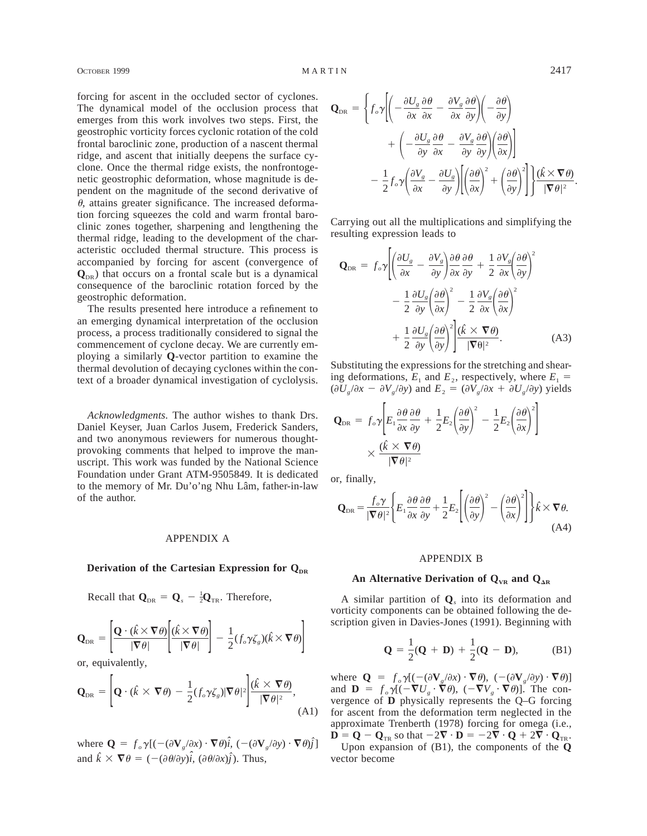forcing for ascent in the occluded sector of cyclones. The dynamical model of the occlusion process that emerges from this work involves two steps. First, the geostrophic vorticity forces cyclonic rotation of the cold frontal baroclinic zone, production of a nascent thermal ridge, and ascent that initially deepens the surface cyclone. Once the thermal ridge exists, the nonfrontogenetic geostrophic deformation, whose magnitude is dependent on the magnitude of the second derivative of  $\theta$ , attains greater significance. The increased deformation forcing squeezes the cold and warm frontal baroclinic zones together, sharpening and lengthening the thermal ridge, leading to the development of the characteristic occluded thermal structure. This process is accompanied by forcing for ascent (convergence of  $\mathbf{Q}_{\text{DR}}$ ) that occurs on a frontal scale but is a dynamical consequence of the baroclinic rotation forced by the geostrophic deformation.

The results presented here introduce a refinement to an emerging dynamical interpretation of the occlusion process, a process traditionally considered to signal the commencement of cyclone decay. We are currently employing a similarly **Q**-vector partition to examine the thermal devolution of decaying cyclones within the context of a broader dynamical investigation of cyclolysis.

*Acknowledgments.* The author wishes to thank Drs. Daniel Keyser, Juan Carlos Jusem, Frederick Sanders, and two anonymous reviewers for numerous thoughtprovoking comments that helped to improve the manuscript. This work was funded by the National Science Foundation under Grant ATM-9505849. It is dedicated to the memory of Mr. Du'o'ng Nhu Lâm, father-in-law of the author.

# APPENDIX A

#### **Derivation of the Cartesian Expression for QDR**

Recall that  $\mathbf{Q}_{DR} = \mathbf{Q}_s - \frac{1}{2}\mathbf{Q}_{TR}$ . Therefore,

$$
\mathbf{Q}_{\text{DR}} = \left[ \frac{\mathbf{Q} \cdot (\hat{k} \times \nabla \theta)}{|\nabla \theta|} \left[ \frac{(\hat{k} \times \nabla \theta)}{|\nabla \theta|} \right] - \frac{1}{2} (f_o \gamma \zeta_s)(\hat{k} \times \nabla \theta) \right]
$$

or, equivalently,

$$
\mathbf{Q}_{\text{DR}} = \left[ \mathbf{Q} \cdot (\hat{k} \times \nabla \theta) - \frac{1}{2} (f_o \gamma \zeta_s) |\nabla \theta|^2 \right] \frac{(\hat{k} \times \nabla \theta)}{|\nabla \theta|^2},\tag{A1}
$$

where  $\mathbf{Q} = f_o \gamma [(-(\partial \mathbf{V}_g/\partial x) \cdot \nabla \theta) \hat{i}, (-(\partial \mathbf{V}_g/\partial y) \cdot \nabla \theta) \hat{j}]$ and  $\hat{k} \times \nabla \theta = (- (\partial \theta / \partial y) \hat{i}, (\partial \theta / \partial x) \hat{j})$ . Thus,

$$
\mathbf{Q}_{\text{DR}} = \left\{ f_o \gamma \left| \left( -\frac{\partial U_s}{\partial x} \frac{\partial \theta}{\partial x} - \frac{\partial V_s}{\partial x} \frac{\partial \theta}{\partial y} \right) \left( -\frac{\partial \theta}{\partial y} \right) \right| + \left( -\frac{\partial U_s}{\partial y} \frac{\partial \theta}{\partial x} - \frac{\partial V_s}{\partial y} \frac{\partial \theta}{\partial y} \right) \left( \frac{\partial \theta}{\partial x} \right) \right\} - \frac{1}{2} f_o \gamma \left( \frac{\partial V_s}{\partial x} - \frac{\partial U_s}{\partial y} \right) \left[ \left( \frac{\partial \theta}{\partial x} \right)^2 + \left( \frac{\partial \theta}{\partial y} \right)^2 \right] \frac{\left( \hat{k} \times \nabla \theta \right)}{|\nabla \theta|^2}.
$$

Carrying out all the multiplications and simplifying the resulting expression leads to

$$
\mathbf{Q}_{\text{DR}} = f_o \gamma \left[ \left( \frac{\partial U_s}{\partial x} - \frac{\partial V_s}{\partial y} \right) \frac{\partial \theta}{\partial x} \frac{\partial \theta}{\partial y} + \frac{1}{2} \frac{\partial V_s}{\partial x} \left( \frac{\partial \theta}{\partial y} \right)^2 - \frac{1}{2} \frac{\partial U_s}{\partial y} \left( \frac{\partial \theta}{\partial x} \right)^2 - \frac{1}{2} \frac{\partial V_s}{\partial x} \left( \frac{\partial \theta}{\partial x} \right)^2 + \frac{1}{2} \frac{\partial U_s}{\partial y} \left( \frac{\partial \theta}{\partial y} \right)^2 \left| \frac{\hat{K} \times \nabla \theta}{|\nabla \theta|^2} \right].
$$
\n(A3)

Substituting the expressions for the stretching and shearing deformations,  $E_1$  and  $E_2$ , respectively, where  $E_1$  =  $(\partial U_g / \partial x - \partial V_g / \partial y)$  and  $E_2 = (\partial V_g / \partial x + \partial U_g / \partial y)$  yields

$$
\mathbf{Q}_{\text{DR}} = f_o \gamma \left[ E_1 \frac{\partial \theta}{\partial x} \frac{\partial \theta}{\partial y} + \frac{1}{2} E_2 \left( \frac{\partial \theta}{\partial y} \right)^2 - \frac{1}{2} E_2 \left( \frac{\partial \theta}{\partial x} \right)^2 \right] \times \frac{(\hat{\kappa} \times \nabla \theta)}{|\nabla \theta|^2}
$$

or, finally,

$$
\mathbf{Q}_{\text{DR}} = \frac{f_o \gamma}{|\nabla \theta|^2} \left\{ E_1 \frac{\partial \theta}{\partial x} \frac{\partial \theta}{\partial y} + \frac{1}{2} E_2 \left[ \left( \frac{\partial \theta}{\partial y} \right)^2 - \left( \frac{\partial \theta}{\partial x} \right)^2 \right] \right\} \hat{k} \times \nabla \theta. \tag{A4}
$$

### APPENDIX B

## An Alternative Derivation of  $Q_{VR}$  and  $Q_{AR}$

A similar partition of **Q***<sup>s</sup>* into its deformation and vorticity components can be obtained following the description given in Davies-Jones (1991). Beginning with

$$
Q = \frac{1}{2}(Q + D) + \frac{1}{2}(Q - D),
$$
 (B1)

where  $Q = f_o \gamma [(-(\partial \mathbf{V}_g/\partial x) \cdot \nabla \theta), (-(\partial \mathbf{V}_g/\partial y) \cdot \nabla \theta)]$ and  $\mathbf{D} = f_o \gamma [(-\nabla U_g \cdot \nabla \theta), (-\nabla V_g \cdot \nabla \theta)].$  The convergence of **D** physically represents the Q–G forcing for ascent from the deformation term neglected in the approximate Trenberth (1978) forcing for omega (i.e.,  $\mathbf{D} = \mathbf{Q} - \mathbf{Q}_{TR}$  so that  $-2\nabla \cdot \mathbf{D} = -2\nabla \cdot \mathbf{Q} + 2\nabla \cdot \mathbf{Q}_{TR}$ . Upon expansion of (B1), the components of the **Q** vector become